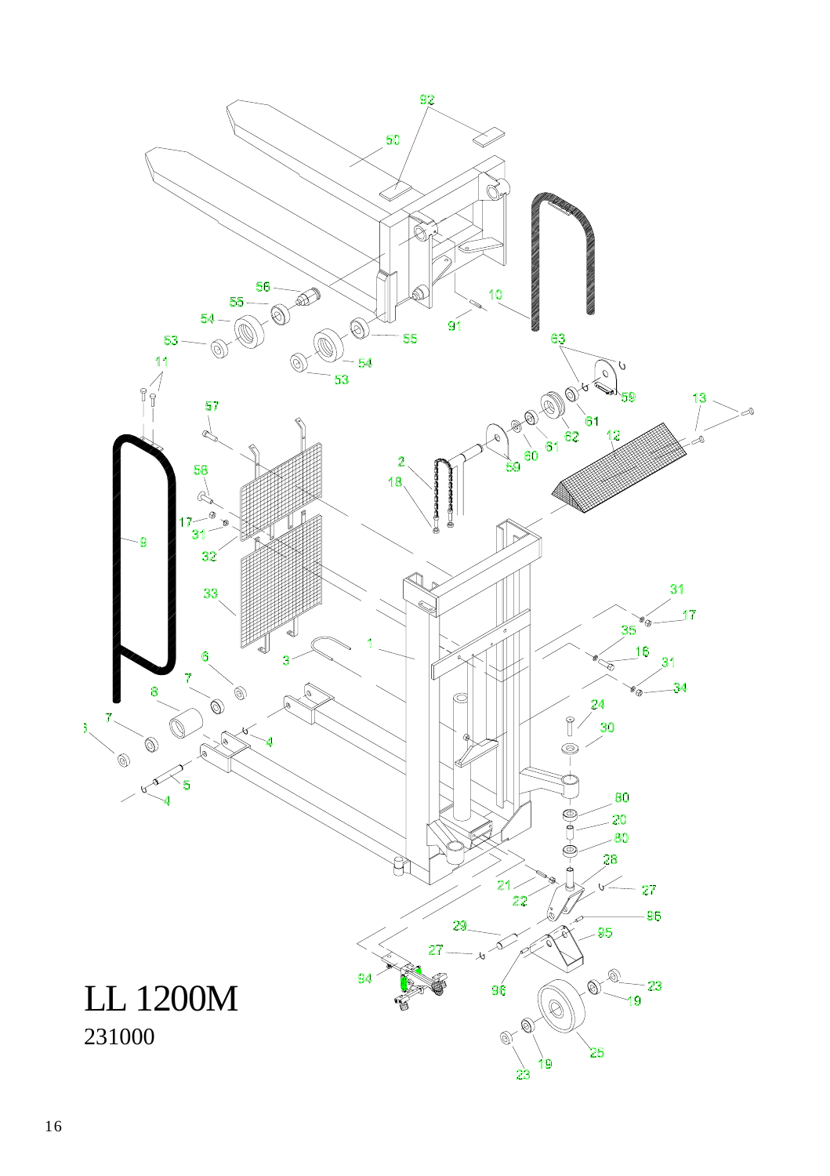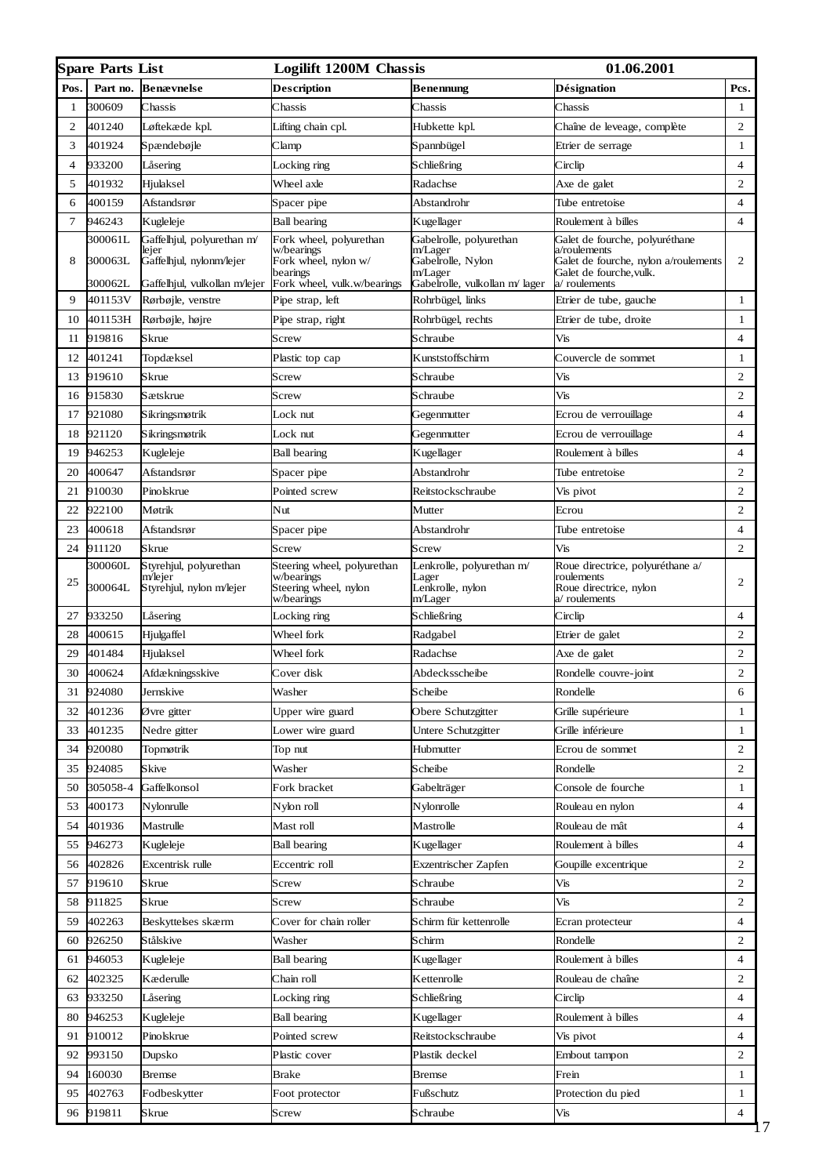|                | <b>Spare Parts List</b>       |                                                                                                  | <b>Logilift 1200M Chassis</b>                                                                            |                                                                                                      | <b>01.06.2001</b>                                                                                                                 |                |
|----------------|-------------------------------|--------------------------------------------------------------------------------------------------|----------------------------------------------------------------------------------------------------------|------------------------------------------------------------------------------------------------------|-----------------------------------------------------------------------------------------------------------------------------------|----------------|
| Pos.           | Part no.                      | <b>Benævnelse</b>                                                                                | Description                                                                                              | Benennung                                                                                            | Désignation                                                                                                                       | Pcs.           |
| 1              | 300609                        | Chassis                                                                                          | Chassis                                                                                                  | Chassis                                                                                              | Chassis                                                                                                                           | 1              |
| 2              | 401240                        | Løftekæde kpl.                                                                                   | Lifting chain cpl.                                                                                       | Hubkette kpl.                                                                                        | Chaîne de leveage, complète                                                                                                       | 2              |
| 3              | 401924                        | Spændebøjle                                                                                      | Clamp                                                                                                    | Spannbügel                                                                                           | Etrier de serrage                                                                                                                 | $\mathbf{1}$   |
| $\overline{4}$ | 933200                        | Låsering                                                                                         | Locking ring                                                                                             | Schließring                                                                                          | Circlip                                                                                                                           | $\overline{4}$ |
| 5              | 401932                        | Hjulaksel                                                                                        | Wheel axle                                                                                               | Radachse                                                                                             | Axe de galet                                                                                                                      | $\overline{c}$ |
| 6              | 400159                        | Afstandsrør                                                                                      | Spacer pipe                                                                                              | Abstandrohr                                                                                          | Tube entretoise                                                                                                                   | $\overline{4}$ |
| 7              | 946243                        | Kugleleje                                                                                        | <b>Ball bearing</b>                                                                                      | Kugellager                                                                                           | Roulement à billes                                                                                                                | $\overline{4}$ |
| 8              | 300061L<br>300063L<br>300062L | Gaffelhjul, polyurethan m/<br>lejer<br>Gaffelhjul, nylonm/lejer<br>Gaffelhjul, vulkollan m/lejer | Fork wheel, polyurethan<br>w/bearings<br>Fork wheel, nylon w/<br>bearings<br>Fork wheel, vulk.w/bearings | Gabelrolle, polyurethan<br>m/Lager<br>Gabelrolle, Nylon<br>m/Lager<br>Gabelrolle, vulkollan m/ lager | Galet de fourche, polyuréthane<br>a/roulements<br>Galet de fourche, nylon a/roulements<br>Galet de fourche, vulk.<br>a/roulements | $\overline{c}$ |
| 9              | 401153V                       | Rørbøjle, venstre                                                                                | Pipe strap, left                                                                                         | Rohrbügel, links                                                                                     | Etrier de tube, gauche                                                                                                            | $\mathbf{1}$   |
| 10             | 401153H                       | Rørbøjle, højre                                                                                  | Pipe strap, right                                                                                        | Rohrbügel, rechts                                                                                    | Etrier de tube, droite                                                                                                            | $\mathbf{1}$   |
| 11             | 919816                        | Skrue                                                                                            | Screw                                                                                                    | Schraube                                                                                             | Vis                                                                                                                               | 4              |
| 12             | 401241                        | Topdæksel                                                                                        | Plastic top cap                                                                                          | Kunststoffschirm                                                                                     | Couvercle de sommet                                                                                                               | $\mathbf{1}$   |
| 13             | 919610                        | Skrue                                                                                            | Screw                                                                                                    | Schraube                                                                                             | Vis                                                                                                                               | 2              |
| 16             | 915830                        | Sætskrue                                                                                         | Screw                                                                                                    | Schraube                                                                                             | Vis                                                                                                                               | 2              |
| 17             | 921080                        | Sikringsmøtrik                                                                                   | Lock nut                                                                                                 | Gegenmutter                                                                                          | Ecrou de verrouillage                                                                                                             | 4              |
| 18             | 921120                        | Sikringsmøtrik                                                                                   | Lock nut                                                                                                 | Gegenmutter                                                                                          | Ecrou de verrouillage                                                                                                             | $\overline{4}$ |
| 19             | 946253                        | Kugleleje                                                                                        | <b>Ball</b> bearing                                                                                      | Kugellager                                                                                           | Roulement à billes                                                                                                                | 4              |
| 20             | 400647                        | Afstandsrør                                                                                      | Spacer pipe                                                                                              | Abstandrohr                                                                                          | Tube entretoise                                                                                                                   | 2              |
| 21             | 910030                        | Pinolskrue                                                                                       | Pointed screw                                                                                            | Reitstockschraube                                                                                    | Vis pivot                                                                                                                         | $\overline{c}$ |
| 22             | 922100                        | Møtrik                                                                                           | Nut                                                                                                      | Mutter                                                                                               | Ecrou                                                                                                                             | 2              |
| 23             | 400618                        | Afstandsrør                                                                                      | Spacer pipe                                                                                              | Abstandrohr                                                                                          | Tube entretoise                                                                                                                   | $\overline{4}$ |
| 24             | 911120                        | Skrue                                                                                            | Screw                                                                                                    | Screw                                                                                                | Vis                                                                                                                               | $\overline{c}$ |
| 25             | 300060L<br>300064L            | Styrehjul, polyurethan<br>m/lejer<br>Styrehjul, nylon m/lejer                                    | Steering wheel, polyurethan<br>w/bearings<br>Steering wheel, nylon<br>w/bearings                         | Lenkrolle, polyurethan m/<br>Lager<br>Lenkrolle, nylon<br>m/Lager                                    | Roue directrice, polyuréthane a/<br>roulements<br>Roue directrice, nylon<br>v/roulements                                          | 2              |
| 27             | 933250                        | Läsering                                                                                         | Locking ring                                                                                             | Schließring                                                                                          | Circlip                                                                                                                           | $\overline{4}$ |
| 28             | 400615                        | Hjulgaffel                                                                                       | Wheel fork                                                                                               | Radgabel                                                                                             | Etrier de galet                                                                                                                   | 2              |
| 29             | 401484                        | Hjulaksel                                                                                        | Wheel fork                                                                                               | Radachse                                                                                             | Axe de galet                                                                                                                      | 2              |
| 30             | 400624                        | Afdækningsskive                                                                                  | Cover disk                                                                                               | Abdecksscheibe                                                                                       | Rondelle couvre-joint                                                                                                             | $\overline{c}$ |
| 31             | 924080                        | Jernskive                                                                                        | Washer                                                                                                   | Scheibe                                                                                              | Rondelle                                                                                                                          | 6              |
| 32             | 401236                        | Øvre gitter                                                                                      | Upper wire guard                                                                                         | Obere Schutzgitter                                                                                   | Grille supérieure                                                                                                                 | 1              |
| 33             | 401235                        | Nedre gitter                                                                                     | Lower wire guard                                                                                         | Untere Schutzgitter                                                                                  | Grille inférieure                                                                                                                 | $\mathbf{1}$   |
| 34             | 920080                        | Topmøtrik                                                                                        | Top nut                                                                                                  | Hubmutter                                                                                            | Ecrou de sommet                                                                                                                   | 2              |
| 35             | 924085                        | Skive                                                                                            | Washer                                                                                                   | Scheibe                                                                                              | Rondelle                                                                                                                          | 2              |
| 50             | 305058-4                      | Gaffelkonsol                                                                                     | Fork bracket                                                                                             | Gabelträger                                                                                          | Console de fourche                                                                                                                | $\mathbf{1}$   |
| 53             | 400173                        | Nylonrulle                                                                                       | Nylon roll                                                                                               | Nylonrolle                                                                                           | Rouleau en nylon                                                                                                                  | 4              |
| 54             | 401936                        | Mastrulle                                                                                        | Mast roll                                                                                                | Mastrolle                                                                                            | Rouleau de mât                                                                                                                    | $\overline{4}$ |
| 55             | 946273                        | Kugleleje                                                                                        | <b>Ball bearing</b>                                                                                      | Kugellager                                                                                           | Roulement à billes                                                                                                                | $\overline{4}$ |
| 56             | 402826                        | Excentrisk rulle                                                                                 | Eccentric roll                                                                                           | Exzentrischer Zapfen                                                                                 | Goupille excentrique                                                                                                              | 2              |
| 57             | 919610                        | Skrue                                                                                            | Screw                                                                                                    | Schraube                                                                                             | Vis                                                                                                                               | 2              |
| 58             | 911825                        | Skrue                                                                                            | Screw                                                                                                    | Schraube                                                                                             | Vis                                                                                                                               | 2              |
| 59             | 402263                        | Beskyttelses skærm                                                                               | Cover for chain roller                                                                                   | Schirm für kettenrolle                                                                               | Ecran protecteur                                                                                                                  | $\overline{4}$ |
| 60             | 926250                        | Stålskive                                                                                        | Washer                                                                                                   | Schirm                                                                                               | Rondelle                                                                                                                          | $\overline{c}$ |
| 61             | 946053                        | Kugleleje                                                                                        | <b>Ball bearing</b>                                                                                      | Kugellager                                                                                           | Roulement à billes                                                                                                                | 4              |
| 62             | 402325                        | Kæderulle                                                                                        | Chain roll                                                                                               | Kettenrolle                                                                                          | Rouleau de chaîne                                                                                                                 | 2              |
| 63             | 933250                        | Låsering                                                                                         | Locking ring                                                                                             | Schließring                                                                                          | Circlip                                                                                                                           | 4              |
| 80             | 946253                        | Kugleleje                                                                                        | Ball bearing                                                                                             | Kugellager                                                                                           | Roulement à billes                                                                                                                | $\overline{4}$ |
| 91             | 910012                        | Pinolskrue                                                                                       | Pointed screw                                                                                            | Reitstockschraube                                                                                    | Vis pivot                                                                                                                         | $\overline{4}$ |
| 92             | 993150                        | Dupsko                                                                                           | Plastic cover                                                                                            | Plastik deckel                                                                                       | Embout tampon                                                                                                                     | 2              |
| 94             | 160030                        | Bremse                                                                                           | Brake                                                                                                    | Bremse                                                                                               | Frein                                                                                                                             | $\mathbf{1}$   |
| 95             | 402763                        | Fodbeskytter                                                                                     | Foot protector                                                                                           | Fußschutz                                                                                            | Protection du pied                                                                                                                | $\mathbf{1}$   |
| 96             | 919811                        | Skrue                                                                                            | Screw                                                                                                    | Schraube                                                                                             | Vis                                                                                                                               | 4              |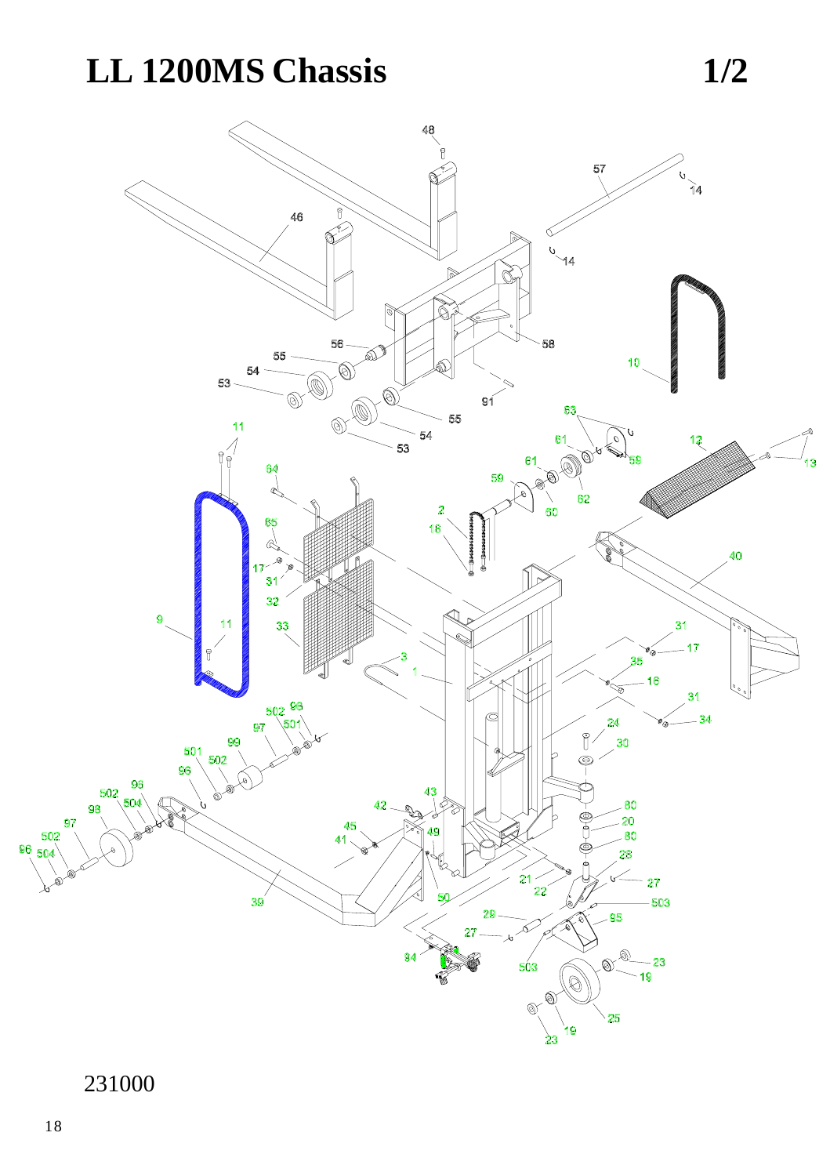## LL 1200MS Chassis



 $1/2$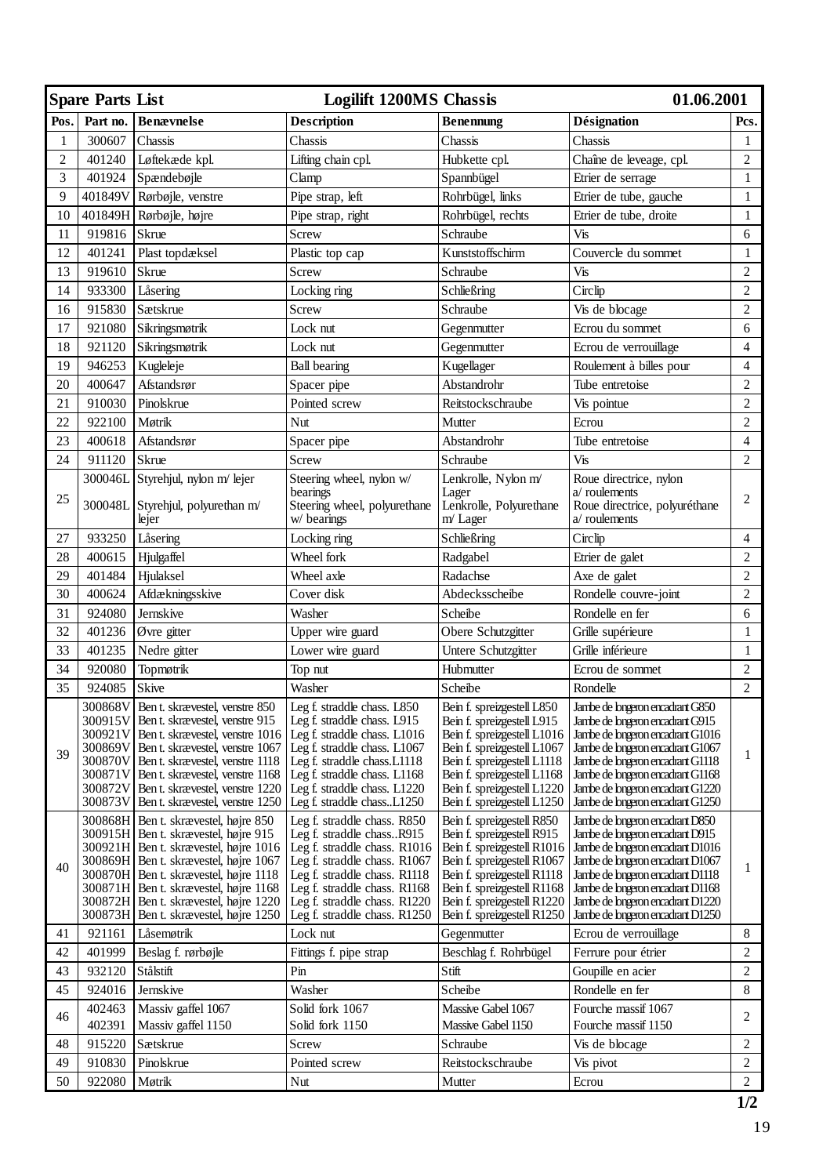| <b>Spare Parts List</b> |                                                                           |                                                                                                                                                                                                                                                                                                                        | <b>Logilift 1200MS Chassis</b>                                                                                                                                                                                                                           | 01.06.2001                                                                                                                                                                                                                                         |                                                                                                                                                                                                                                                                                              |                         |
|-------------------------|---------------------------------------------------------------------------|------------------------------------------------------------------------------------------------------------------------------------------------------------------------------------------------------------------------------------------------------------------------------------------------------------------------|----------------------------------------------------------------------------------------------------------------------------------------------------------------------------------------------------------------------------------------------------------|----------------------------------------------------------------------------------------------------------------------------------------------------------------------------------------------------------------------------------------------------|----------------------------------------------------------------------------------------------------------------------------------------------------------------------------------------------------------------------------------------------------------------------------------------------|-------------------------|
| Pos.                    | Part no.                                                                  | <b>Benævnelse</b>                                                                                                                                                                                                                                                                                                      | <b>Description</b>                                                                                                                                                                                                                                       | <b>Benennung</b>                                                                                                                                                                                                                                   | <b>Désignation</b>                                                                                                                                                                                                                                                                           | Pcs.                    |
| 1                       | 300607                                                                    | Chassis                                                                                                                                                                                                                                                                                                                | Chassis                                                                                                                                                                                                                                                  | Chassis                                                                                                                                                                                                                                            | Chassis                                                                                                                                                                                                                                                                                      | 1                       |
| $\overline{c}$          | 401240                                                                    | Løftekæde kpl.                                                                                                                                                                                                                                                                                                         | Lifting chain cpl.                                                                                                                                                                                                                                       | Hubkette cpl.                                                                                                                                                                                                                                      | Chaîne de leveage, cpl.                                                                                                                                                                                                                                                                      | $\overline{c}$          |
| 3                       | 401924                                                                    | Spændebøjle                                                                                                                                                                                                                                                                                                            | Clamp                                                                                                                                                                                                                                                    | Spannbügel                                                                                                                                                                                                                                         | Etrier de serrage                                                                                                                                                                                                                                                                            | $\mathbf{1}$            |
| 9                       | 401849V                                                                   | Rørbøjle, venstre                                                                                                                                                                                                                                                                                                      | Pipe strap, left                                                                                                                                                                                                                                         | Rohrbügel, links                                                                                                                                                                                                                                   | Etrier de tube, gauche                                                                                                                                                                                                                                                                       | $\mathbf{1}$            |
| 10                      | 401849H                                                                   | Rørbøjle, højre                                                                                                                                                                                                                                                                                                        | Pipe strap, right                                                                                                                                                                                                                                        | Rohrbügel, rechts                                                                                                                                                                                                                                  | Etrier de tube, droite                                                                                                                                                                                                                                                                       | $\mathbf{1}$            |
| 11                      | 919816                                                                    | Skrue                                                                                                                                                                                                                                                                                                                  | Screw                                                                                                                                                                                                                                                    | Schraube                                                                                                                                                                                                                                           | Vis                                                                                                                                                                                                                                                                                          | 6                       |
| 12                      | 401241                                                                    | Plast topdæksel                                                                                                                                                                                                                                                                                                        | Plastic top cap                                                                                                                                                                                                                                          | Kunststoffschirm                                                                                                                                                                                                                                   | Couvercle du sommet                                                                                                                                                                                                                                                                          | $\mathbf{1}$            |
| 13                      | 919610                                                                    | Skrue                                                                                                                                                                                                                                                                                                                  | Screw                                                                                                                                                                                                                                                    | Schraube                                                                                                                                                                                                                                           | Vis                                                                                                                                                                                                                                                                                          | $\overline{c}$          |
| 14                      | 933300                                                                    | Låsering                                                                                                                                                                                                                                                                                                               | Locking ring                                                                                                                                                                                                                                             | Schließring                                                                                                                                                                                                                                        | Circlip                                                                                                                                                                                                                                                                                      | $\overline{c}$          |
| 16                      | 915830                                                                    | Sætskrue                                                                                                                                                                                                                                                                                                               | Screw                                                                                                                                                                                                                                                    | Schraube                                                                                                                                                                                                                                           | Vis de blocage                                                                                                                                                                                                                                                                               | $\overline{c}$          |
| 17                      | 921080                                                                    | Sikringsmøtrik                                                                                                                                                                                                                                                                                                         | Lock nut                                                                                                                                                                                                                                                 | Gegenmutter                                                                                                                                                                                                                                        | Ecrou du sommet                                                                                                                                                                                                                                                                              | 6                       |
| 18                      | 921120                                                                    | Sikringsmøtrik                                                                                                                                                                                                                                                                                                         | Lock nut                                                                                                                                                                                                                                                 | Gegenmutter                                                                                                                                                                                                                                        | Ecrou de verrouillage                                                                                                                                                                                                                                                                        | $\overline{\mathbf{4}}$ |
| 19                      | 946253                                                                    | Kugleleje                                                                                                                                                                                                                                                                                                              | <b>Ball</b> bearing                                                                                                                                                                                                                                      | Kugellager                                                                                                                                                                                                                                         | Roulement à billes pour                                                                                                                                                                                                                                                                      | $\overline{4}$          |
| 20                      | 400647                                                                    | Afstandsrør                                                                                                                                                                                                                                                                                                            | Spacer pipe                                                                                                                                                                                                                                              | Abstandrohr                                                                                                                                                                                                                                        | Tube entretoise                                                                                                                                                                                                                                                                              | $\overline{c}$          |
| 21                      | 910030                                                                    | Pinolskrue                                                                                                                                                                                                                                                                                                             | Pointed screw                                                                                                                                                                                                                                            | Reitstockschraube                                                                                                                                                                                                                                  | Vis pointue                                                                                                                                                                                                                                                                                  | $\overline{2}$          |
| 22                      | 922100                                                                    | Møtrik                                                                                                                                                                                                                                                                                                                 | Nut                                                                                                                                                                                                                                                      | Mutter                                                                                                                                                                                                                                             | Ecrou                                                                                                                                                                                                                                                                                        | $\overline{c}$          |
| 23                      | 400618                                                                    | Afstandsrør                                                                                                                                                                                                                                                                                                            | Spacer pipe                                                                                                                                                                                                                                              | Abstandrohr                                                                                                                                                                                                                                        | Tube entretoise                                                                                                                                                                                                                                                                              | $\overline{4}$          |
| 24                      | 911120                                                                    | Skrue                                                                                                                                                                                                                                                                                                                  | Screw                                                                                                                                                                                                                                                    | Schraube                                                                                                                                                                                                                                           | Vis                                                                                                                                                                                                                                                                                          | $\overline{c}$          |
|                         | 300046L                                                                   | Styrehjul, nylon m/ lejer                                                                                                                                                                                                                                                                                              | Steering wheel, nylon w/                                                                                                                                                                                                                                 | Lenkrolle, Nylon m/                                                                                                                                                                                                                                | Roue directrice, nylon                                                                                                                                                                                                                                                                       |                         |
| 25                      |                                                                           | 300048L Styrehjul, polyurethan m/<br>lejer                                                                                                                                                                                                                                                                             | bearings<br>Steering wheel, polyurethane<br>w/ bearings                                                                                                                                                                                                  | Lager<br>Lenkrolle, Polyurethane<br>$m$ Lager                                                                                                                                                                                                      | $a$ roulements<br>Roue directrice, polyuréthane<br>a/roulements                                                                                                                                                                                                                              | 2                       |
| 27                      | 933250                                                                    | Låsering                                                                                                                                                                                                                                                                                                               | Locking ring                                                                                                                                                                                                                                             | Schließring                                                                                                                                                                                                                                        | Circlip                                                                                                                                                                                                                                                                                      | $\overline{4}$          |
| 28                      | 400615                                                                    | Hjulgaffel                                                                                                                                                                                                                                                                                                             | Wheel fork                                                                                                                                                                                                                                               | Radgabel                                                                                                                                                                                                                                           | Etrier de galet                                                                                                                                                                                                                                                                              | $\overline{c}$          |
| 29                      | 401484                                                                    | Hjulaksel                                                                                                                                                                                                                                                                                                              | Wheel axle                                                                                                                                                                                                                                               | Radachse                                                                                                                                                                                                                                           | Axe de galet                                                                                                                                                                                                                                                                                 | $\overline{c}$          |
| 30                      | 400624                                                                    | Afdækningsskive                                                                                                                                                                                                                                                                                                        | Cover disk                                                                                                                                                                                                                                               | Abdecksscheibe                                                                                                                                                                                                                                     | Rondelle couvre-joint                                                                                                                                                                                                                                                                        | $\overline{c}$          |
| 31                      | 924080                                                                    | Jernskive                                                                                                                                                                                                                                                                                                              | Washer                                                                                                                                                                                                                                                   | Scheibe                                                                                                                                                                                                                                            | Rondelle en fer                                                                                                                                                                                                                                                                              | 6                       |
| 32                      | 401236                                                                    | Øvre gitter                                                                                                                                                                                                                                                                                                            | Upper wire guard                                                                                                                                                                                                                                         | Obere Schutzgitter                                                                                                                                                                                                                                 | Grille supérieure                                                                                                                                                                                                                                                                            | $\mathbf{1}$            |
| 33                      | 401235                                                                    | Nedre gitter                                                                                                                                                                                                                                                                                                           | Lower wire guard                                                                                                                                                                                                                                         | Untere Schutzgitter                                                                                                                                                                                                                                | Grille inférieure                                                                                                                                                                                                                                                                            | $\mathbf{1}$            |
| 34                      | 920080                                                                    | Topmøtrik                                                                                                                                                                                                                                                                                                              | Top nut                                                                                                                                                                                                                                                  | Hubmutter                                                                                                                                                                                                                                          | Ecrou de sommet                                                                                                                                                                                                                                                                              | $\overline{c}$          |
| 35                      | 924085                                                                    | Skive                                                                                                                                                                                                                                                                                                                  | Washer                                                                                                                                                                                                                                                   | Scheibe                                                                                                                                                                                                                                            | Rondelle                                                                                                                                                                                                                                                                                     | $\overline{2}$          |
| 39                      | 300868V<br>300915V<br>300921V<br>300870V<br>300871V<br>300872V<br>300873V | Ben t. skrævestel, venstre 850<br>Ben t. skrævestel, venstre 915<br>Ben t. skrævestel, venstre 1016<br>300869V Ben t. skrævestel, venstre 1067<br>Ben t. skrævestel, venstre 1118<br>Ben t. skrævestel, venstre 1168<br>Ben t. skrævestel, venstre 1220<br>Ben t. skrævestel, venstre 1250                             | Leg f. straddle chass. L850<br>Leg f. straddle chass. L915<br>Leg f. straddle chass. L1016<br>Leg f. straddle chass. L1067<br>Leg f. straddle chass.L1118<br>Leg f. straddle chass. L1168<br>Leg f. straddle chass. L1220<br>Leg f. straddle chassL1250  | Bein f. spreizgestell L850<br>Bein f. spreizgestell L915<br>Bein f. spreizgestell L1016<br>Bein f. spreizgestell L1067<br>Bein f. spreizgestell L1118<br>Bein f. spreizgestell L1168<br>Bein f. spreizgestell L1220<br>Bein f. spreizgestell L1250 | Jambe de bngeron encadrant G850<br>Jambe de bngeron encadrant G915<br>Jambe de bngeron encadrant G1016<br>Jambe de bngeron encadrant G1067<br>Jambe de bngeron encadrant G1118<br>Jambe de bngeron encadrant G1168<br>Jambe de bngeron encadrant G1220<br>Jambe de bngeron encadrant G1250   | 1                       |
| 40                      | 300868H<br>300873H                                                        | Ben t. skrævestel, højre 850<br>300915H   Ben t. skrævestel, højre 915<br>300921H Ben t. skrævestel, højre 1016<br>300869H Ben t. skrævestel, højre 1067<br>300870H Ben t. skrævestel, højre 1118<br>300871H Ben t. skrævestel, højre 1168<br>300872H   Ben t. skrævestel, højre 1220<br>Ben t. skrævestel, højre 1250 | Leg f. straddle chass. R850<br>Leg f. straddle chassR915<br>Leg f. straddle chass. R1016<br>Leg f. straddle chass. R1067<br>Leg f. straddle chass. R1118<br>Leg f. straddle chass. R1168<br>Leg f. straddle chass. R1220<br>Leg f. straddle chass. R1250 | Bein f. spreizgestell R850<br>Bein f. spreizgestell R915<br>Bein f. spreizgestell R1016<br>Bein f. spreizgestell R1067<br>Bein f. spreizgestell R1118<br>Bein f. spreizgestell R1168<br>Bein f. spreizgestell R1220<br>Bein f. spreizgestell R1250 | Jambe de bngeron encadrant D850<br>Jambe de bngeron encadrant D915<br>Jambe de bngeron encadrant D1016<br>Jambe de brigeron encadrant D1067<br>Jambe de briggron encadrant D1118<br>Jambe de bngeron encadrant D1168<br>Jambe de bngeron encadrant D1220<br>Jambe de bngeron encadrant D1250 | $\mathbf{1}$            |
| 41                      | 921161                                                                    | Låsemøtrik                                                                                                                                                                                                                                                                                                             | Lock nut                                                                                                                                                                                                                                                 | Gegenmutter                                                                                                                                                                                                                                        | Ecrou de verrouillage                                                                                                                                                                                                                                                                        | 8                       |
| 42                      | 401999                                                                    | Beslag f. rørbøjle                                                                                                                                                                                                                                                                                                     | Fittings f. pipe strap                                                                                                                                                                                                                                   | Beschlag f. Rohrbügel                                                                                                                                                                                                                              | Ferrure pour étrier                                                                                                                                                                                                                                                                          | $\overline{2}$          |
| 43                      | 932120                                                                    | Stålstift                                                                                                                                                                                                                                                                                                              | Pin                                                                                                                                                                                                                                                      | Stift                                                                                                                                                                                                                                              | Goupille en acier                                                                                                                                                                                                                                                                            | $\overline{c}$          |
| 45                      | 924016                                                                    | Jernskive                                                                                                                                                                                                                                                                                                              | Washer                                                                                                                                                                                                                                                   | Scheibe                                                                                                                                                                                                                                            | Rondelle en fer                                                                                                                                                                                                                                                                              | 8                       |
| 46                      | 402463                                                                    | Massiv gaffel 1067                                                                                                                                                                                                                                                                                                     | Solid fork 1067                                                                                                                                                                                                                                          | Massive Gabel 1067                                                                                                                                                                                                                                 | Fourche massif 1067                                                                                                                                                                                                                                                                          | $\overline{c}$          |
|                         | 402391                                                                    | Massiv gaffel 1150                                                                                                                                                                                                                                                                                                     | Solid fork 1150                                                                                                                                                                                                                                          | Massive Gabel 1150                                                                                                                                                                                                                                 | Fourche massif 1150                                                                                                                                                                                                                                                                          |                         |
| 48                      | 915220                                                                    | Sætskrue                                                                                                                                                                                                                                                                                                               | Screw                                                                                                                                                                                                                                                    | Schraube                                                                                                                                                                                                                                           | Vis de blocage                                                                                                                                                                                                                                                                               | $\overline{c}$          |
| 49                      | 910830                                                                    | Pinolskrue                                                                                                                                                                                                                                                                                                             | Pointed screw                                                                                                                                                                                                                                            | Reitstockschraube                                                                                                                                                                                                                                  | Vis pivot                                                                                                                                                                                                                                                                                    | $\overline{c}$          |
| 50                      | 922080                                                                    | Møtrik                                                                                                                                                                                                                                                                                                                 | Nut                                                                                                                                                                                                                                                      | Mutter                                                                                                                                                                                                                                             | Ecrou                                                                                                                                                                                                                                                                                        | $\overline{2}$          |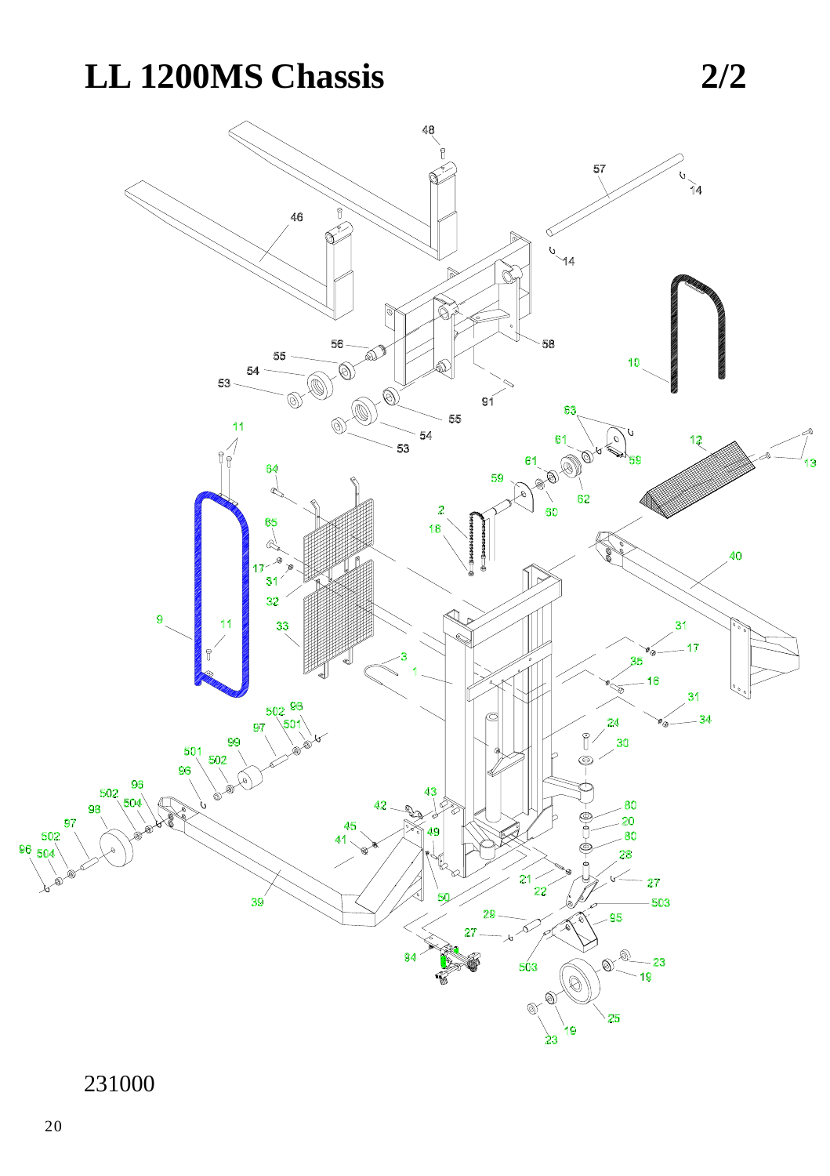## LL 1200MS Chassis



 $2/2$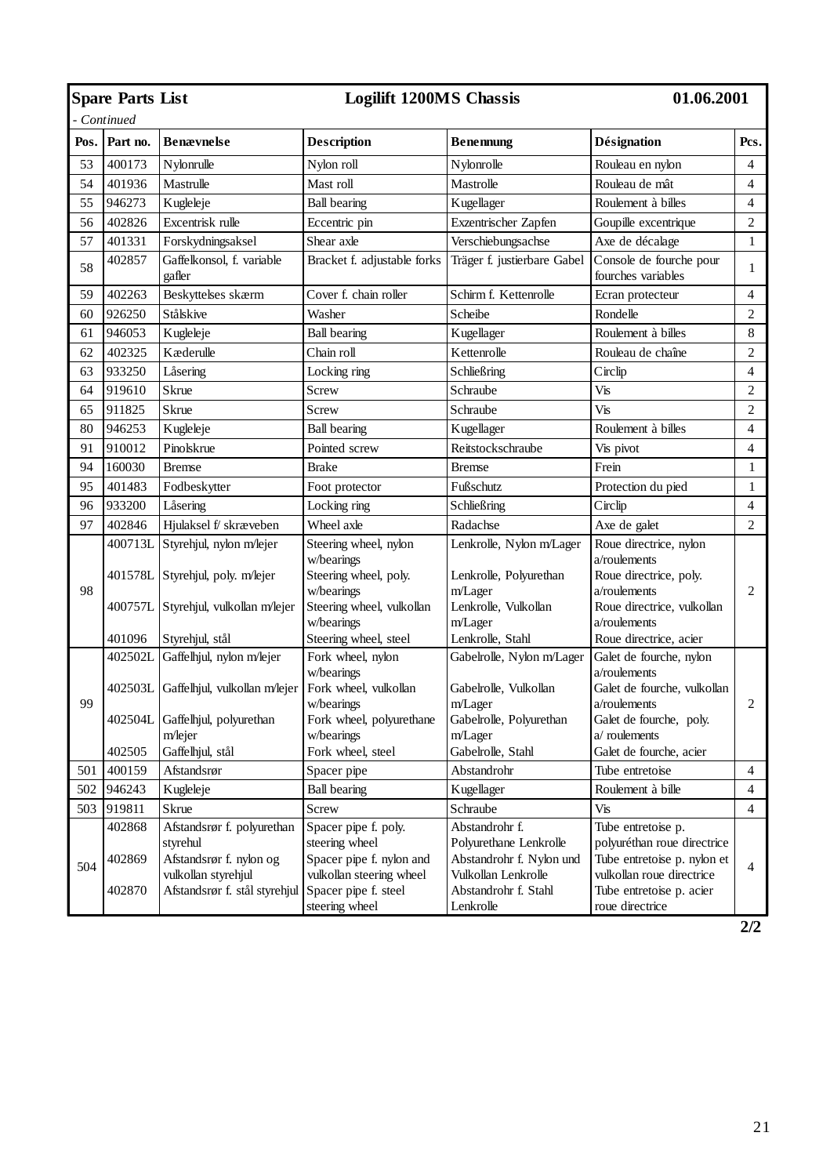|      | <b>Spare Parts List</b>    |                                                                                                                           | <b>Logilift 1200MS Chassis</b>                                                                                         |                                                                                                                     | 01.06.2001                                                                                                                                |                |
|------|----------------------------|---------------------------------------------------------------------------------------------------------------------------|------------------------------------------------------------------------------------------------------------------------|---------------------------------------------------------------------------------------------------------------------|-------------------------------------------------------------------------------------------------------------------------------------------|----------------|
|      | - Continued                |                                                                                                                           |                                                                                                                        |                                                                                                                     |                                                                                                                                           |                |
| Pos. | Part no.                   | <b>Benævnelse</b>                                                                                                         | Description                                                                                                            | <b>Benennung</b>                                                                                                    | Désignation                                                                                                                               | Pcs.           |
| 53   | 400173                     | Nylonrulle                                                                                                                | Nylon roll                                                                                                             | Nylonrolle                                                                                                          | Rouleau en nylon                                                                                                                          | $\overline{4}$ |
| 54   | 401936                     | Mastrulle                                                                                                                 | Mast roll                                                                                                              | Mastrolle                                                                                                           | Rouleau de mât                                                                                                                            | $\overline{4}$ |
| 55   | 946273                     | Kugleleje                                                                                                                 | <b>Ball bearing</b>                                                                                                    | Kugellager                                                                                                          | Roulement à billes                                                                                                                        | $\overline{4}$ |
| 56   | 402826                     | Excentrisk rulle                                                                                                          | Eccentric pin                                                                                                          | Exzentrischer Zapfen                                                                                                | Goupille excentrique                                                                                                                      | $\sqrt{2}$     |
| 57   | 401331                     | Forskydningsaksel                                                                                                         | Shear axle                                                                                                             | Verschiebungsachse                                                                                                  | Axe de décalage                                                                                                                           | $\mathbf{1}$   |
| 58   | 402857                     | Gaffelkonsol, f. variable<br>gafler                                                                                       | Bracket f. adjustable forks                                                                                            | Träger f. justierbare Gabel                                                                                         | Console de fourche pour<br>fourches variables                                                                                             | $\mathbf{1}$   |
| 59   | 402263                     | Beskyttelses skærm                                                                                                        | Cover f. chain roller                                                                                                  | Schirm f. Kettenrolle                                                                                               | Ecran protecteur                                                                                                                          | $\overline{4}$ |
| 60   | 926250                     | Stålskive                                                                                                                 | Washer                                                                                                                 | Scheibe                                                                                                             | Rondelle                                                                                                                                  | $\overline{c}$ |
| 61   | 946053                     | Kugleleje                                                                                                                 | <b>Ball</b> bearing                                                                                                    | Kugellager                                                                                                          | Roulement à billes                                                                                                                        | 8              |
| 62   | 402325                     | Kæderulle                                                                                                                 | Chain roll                                                                                                             | Kettenrolle                                                                                                         | Rouleau de chaîne                                                                                                                         | $\overline{2}$ |
| 63   | 933250                     | Låsering                                                                                                                  | Locking ring                                                                                                           | Schließring                                                                                                         | Circlip                                                                                                                                   | $\overline{4}$ |
| 64   | 919610                     | Skrue                                                                                                                     | Screw                                                                                                                  | Schraube                                                                                                            | Vis                                                                                                                                       | $\overline{2}$ |
| 65   | 911825                     | Skrue                                                                                                                     | Screw                                                                                                                  | Schraube                                                                                                            | Vis                                                                                                                                       | $\overline{c}$ |
| 80   | 946253                     | Kugleleje                                                                                                                 | <b>Ball</b> bearing                                                                                                    | Kugellager                                                                                                          | Roulement à billes                                                                                                                        | $\overline{4}$ |
| 91   | 910012                     | Pinolskrue                                                                                                                | Pointed screw                                                                                                          | Reitstockschraube                                                                                                   | Vis pivot                                                                                                                                 | $\overline{4}$ |
| 94   | 160030                     | <b>Bremse</b>                                                                                                             | <b>Brake</b>                                                                                                           | <b>Bremse</b>                                                                                                       | Frein                                                                                                                                     | $\mathbf{1}$   |
| 95   | 401483                     | Fodbeskytter                                                                                                              | Foot protector                                                                                                         | Fußschutz                                                                                                           | Protection du pied                                                                                                                        | $\mathbf{1}$   |
| 96   | 933200                     | Låsering                                                                                                                  | Locking ring                                                                                                           | Schließring                                                                                                         | Circlip                                                                                                                                   | $\overline{4}$ |
| 97   | 402846                     | Hjulaksel f/ skræveben                                                                                                    | Wheel axle                                                                                                             | Radachse                                                                                                            | Axe de galet                                                                                                                              | $\overline{c}$ |
|      |                            | 400713L Styrehjul, nylon m/lejer<br>401578L Styrehjul, poly. m/lejer                                                      | Steering wheel, nylon<br>w/bearings<br>Steering wheel, poly.                                                           | Lenkrolle, Nylon m/Lager<br>Lenkrolle, Polyurethan                                                                  | Roue directrice, nylon<br>a/roulements<br>Roue directrice, poly.                                                                          |                |
| 98   |                            | 400757L Styrehjul, vulkollan m/lejer                                                                                      | w/bearings<br>Steering wheel, vulkollan<br>w/bearings                                                                  | m/Lager<br>Lenkrolle, Vulkollan<br>m/Lager                                                                          | a/roulements<br>Roue directrice, vulkollan<br>a/roulements                                                                                | $\overline{c}$ |
|      | 401096                     | Styrehjul, stål                                                                                                           | Steering wheel, steel                                                                                                  | Lenkrolle, Stahl                                                                                                    | Roue directrice, acier                                                                                                                    |                |
|      | 402502L                    | Gaffelhjul, nylon m/lejer                                                                                                 | Fork wheel, nylon<br>w/bearings                                                                                        | Gabelrolle, Nylon m/Lager                                                                                           | Galet de fourche, nylon<br>a/roulements                                                                                                   |                |
| 99   | 402504L                    | 402503L Gaffelhjul, vulkollan m/lejer<br>Gaffelhjul, polyurethan<br>m/lejer                                               | Fork wheel, vulkollan<br>w/bearings<br>Fork wheel, polyurethane                                                        | Gabelrolle, Vulkollan<br>m/Lager<br>Gabelrolle, Polyurethan                                                         | Galet de fourche, vulkollan<br>a/roulements<br>Galet de fourche, poly.<br>a/roulements                                                    | $\overline{c}$ |
|      | 402505                     | Gaffelhjul, stål                                                                                                          | w/bearings<br>Fork wheel, steel                                                                                        | m/Lager<br>Gabelrolle, Stahl                                                                                        | Galet de fourche, acier                                                                                                                   |                |
| 501  | 400159                     | Afstandsrør                                                                                                               | Spacer pipe                                                                                                            | Abstandrohr                                                                                                         | Tube entretoise                                                                                                                           | $\overline{4}$ |
| 502  | 946243                     | Kugleleje                                                                                                                 | <b>Ball bearing</b>                                                                                                    | Kugellager                                                                                                          | Roulement à bille                                                                                                                         | $\overline{4}$ |
| 503  | 919811                     | Skrue                                                                                                                     | Screw                                                                                                                  | Schraube                                                                                                            | Vis                                                                                                                                       | $\overline{4}$ |
| 504  | 402868<br>402869<br>402870 | Afstandsrør f. polyurethan<br>styrehul<br>Afstandsrør f. nylon og<br>vulkollan styrehjul<br>Afstandsrør f. stål styrehjul | Spacer pipe f. poly.<br>steering wheel<br>Spacer pipe f. nylon and<br>vulkollan steering wheel<br>Spacer pipe f. steel | Abstandrohr f.<br>Polyurethane Lenkrolle<br>Abstandrohr f. Nylon und<br>Vulkollan Lenkrolle<br>Abstandrohr f. Stahl | Tube entretoise p.<br>polyuréthan roue directrice<br>Tube entretoise p. nylon et<br>vulkollan roue directrice<br>Tube entretoise p. acier | $\overline{4}$ |
|      |                            |                                                                                                                           | steering wheel                                                                                                         | Lenkrolle                                                                                                           | roue directrice                                                                                                                           |                |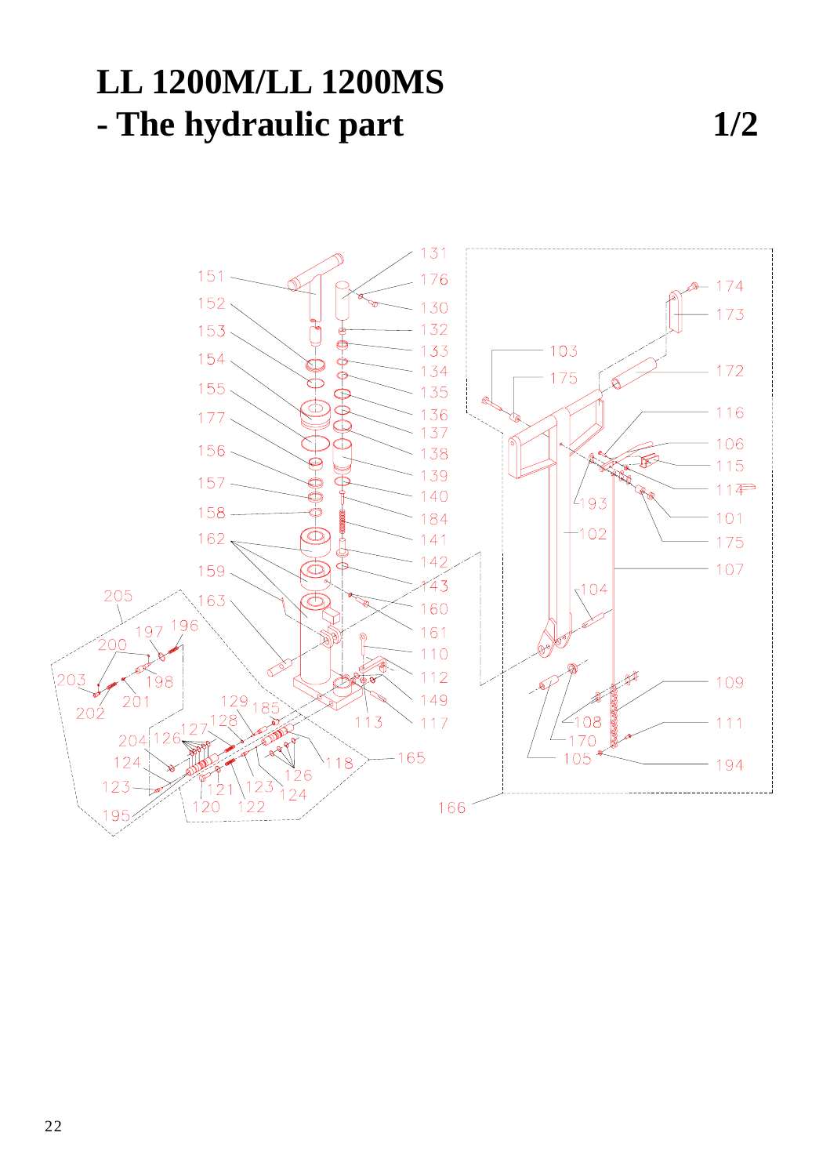## **LL 1200M/LL 1200MS - The hydraulic part 1/2**

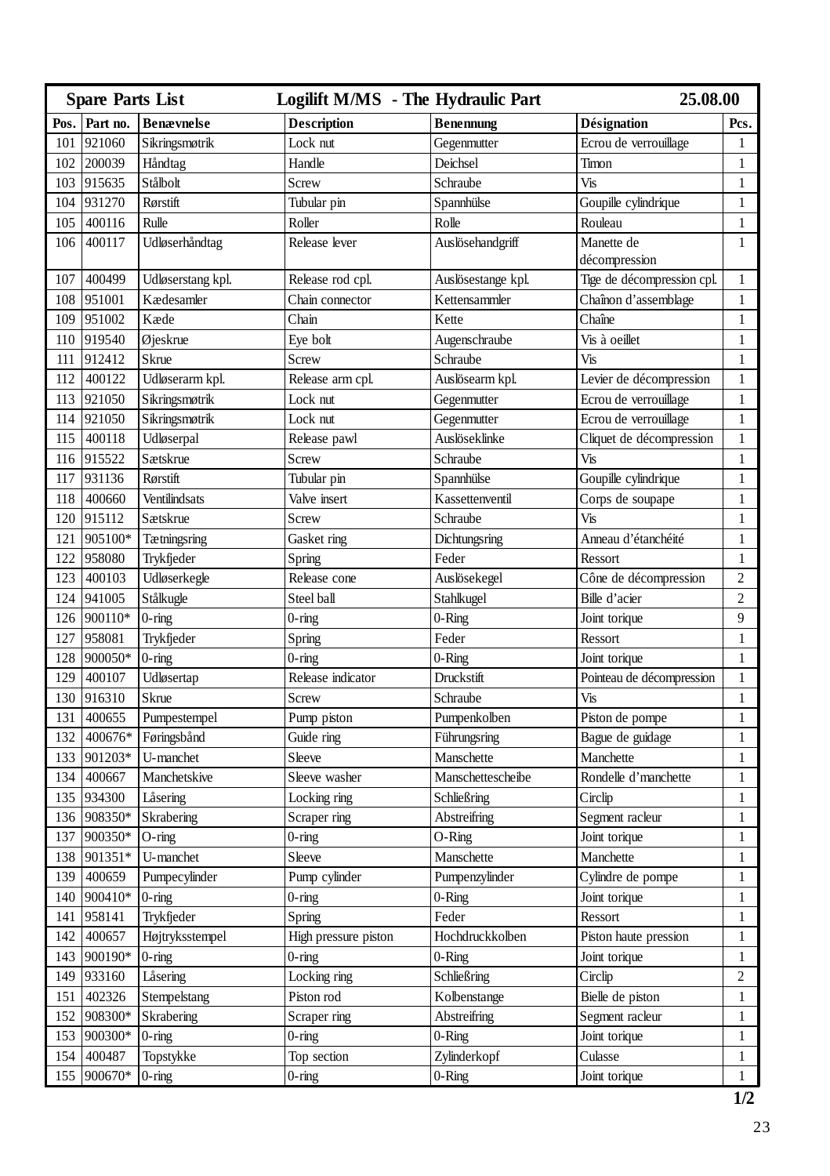| <b>Spare Parts List</b> |             |                   | Logilift M/MS - The Hydraulic Part |                    | 25.08.00                   |                |
|-------------------------|-------------|-------------------|------------------------------------|--------------------|----------------------------|----------------|
| Pos.                    | Part no.    | <b>Benævnelse</b> | <b>Description</b>                 | Benennung          | <b>Désignation</b>         | Pcs.           |
| 101                     | 921060      | Sikringsmøtrik    | Lock nut                           | Gegenmutter        | Ecrou de verrouillage      | 1              |
| 102                     | 200039      | Håndtag           | Handle                             | Deichsel           | Timon                      | 1              |
| 103                     | 915635      | Stålbolt          | Screw                              | Schraube           | Vis                        | $\mathbf{1}$   |
|                         | 104 931270  | Rørstift          | Tubular pin                        | Spannhülse         | Goupille cylindrique       | $\mathbf{1}$   |
| 105                     | 400116      | Rulle             | Roller                             | Rolle              | Rouleau                    | $\mathbf{1}$   |
| 106                     | 400117      | Udløserhåndtag    | Release lever                      | Auslösehandgriff   | Manette de                 | $\mathbf{1}$   |
|                         |             |                   |                                    |                    | décompression              |                |
| 107                     | 400499      | Udløserstang kpl. | Release rod cpl.                   | Auslösestange kpl. | Tige de décompression cpl. | $\mathbf{1}$   |
| 108                     | 951001      | Kædesamler        | Chain connector                    | Kettensammler      | Chaînon d'assemblage       | $\mathbf{1}$   |
| 109                     | 951002      | Kæde              | Chain                              | Kette              | Chaîne                     | $\mathbf{1}$   |
| 110                     | 919540      | Øjeskrue          | Eye bolt                           | Augenschraube      | Vis à oeillet              | $\mathbf{1}$   |
| 111                     | 912412      | Skrue             | Screw                              | Schraube           | Vis                        | $\mathbf{1}$   |
| 112                     | 400122      | Udløserarm kpl.   | Release arm cpl.                   | Auslösearm kpl.    | Levier de décompression    | $\mathbf{1}$   |
| 113                     | 921050      | Sikringsmøtrik    | Lock nut                           | Gegenmutter        | Ecrou de verrouillage      | $\mathbf{1}$   |
| 114                     | 921050      | Sikringsmøtrik    | Lock nut                           | Gegenmutter        | Ecrou de verrouillage      | 1              |
| 115                     | 400118      | Udløserpal        | Release pawl                       | Auslöseklinke      | Cliquet de décompression   | $\mathbf{1}$   |
| 116                     | 915522      | Sætskrue          | Screw                              | Schraube           | Vis                        | $\mathbf{1}$   |
| 117                     | 931136      | Rørstift          | Tubular pin                        | Spannhülse         | Goupille cylindrique       | $\mathbf{1}$   |
| 118                     | 400660      | Ventilindsats     | Valve insert                       | Kassettenventil    | Corps de soupape           | $\mathbf{1}$   |
| 120                     | 915112      | Sætskrue          | Screw                              | Schraube           | Vis                        | $\mathbf{1}$   |
| 121                     | 905100*     | Tætningsring      | Gasket ring                        | Dichtungsring      | Anneau d'étanchéité        | $\mathbf{1}$   |
| 122                     | 958080      | Trykfjeder        | Spring                             | Feder              | Ressort                    | $\mathbf{1}$   |
| 123                     | 400103      | Udløserkegle      | Release cone                       | Auslösekegel       | Cône de décompression      | $\overline{c}$ |
| 124                     | 941005      | Stålkugle         | Steel ball                         | Stahlkugel         | Bille d'acier              | $\overline{2}$ |
|                         | 126 900110* | $0$ -ring         | 0-ring                             | $0$ -Ring          | Joint torique              | 9              |
| 127                     | 958081      | Trykfjeder        | Spring                             | Feder              | Ressort                    | $\mathbf{1}$   |
| 128                     | 900050*     | $0$ -ring         | $0$ -ring                          | $0 -$ Ring         | Joint torique              | $\mathbf{1}$   |
| 129                     | 400107      | Udløsertap        | Release indicator                  | Druckstift         | Pointeau de décompression  | $\mathbf{1}$   |
| 130                     | 916310      | Skrue             | Screw                              | Schraube           | Vis                        | $\mathbf{1}$   |
| 131                     | 400655      | Pumpestempel      | Pump piston                        | Pumpenkolben       | Piston de pompe            | 1              |
| 132                     | 400676*     | Føringsbånd       | Guide ring                         | Führungsring       | Bague de guidage           | 1              |
| 133                     | 901203*     | U-manchet         | Sleeve                             | Manschette         | Manchette                  | $\mathbf{1}$   |
| 134                     | 400667      | Manchetskive      | Sleeve washer                      | Manschettescheibe  | Rondelle d'manchette       | $\mathbf{1}$   |
| 135                     | 934300      | Låsering          | Locking ring                       | Schließring        | Circlip                    | $\mathbf{1}$   |
|                         | 136 908350* | Skrabering        | Scraper ring                       | Abstreifring       | Segment racleur            | $\mathbf{1}$   |
| 137                     | 900350*     | $O$ -ring         | $0$ -ring                          | $O-Ring$           | Joint torique              | $\mathbf{1}$   |
| 138                     | 901351*     | U-manchet         | Sleeve                             | Manschette         | Manchette                  | 1              |
| 139                     | 400659      | Pumpecylinder     | Pump cylinder                      | Pumpenzylinder     | Cylindre de pompe          | $\mathbf{1}$   |
| 140                     | 900410*     | $0$ -ring         | 0-ring                             | $0 -$ Ring         | Joint torique              | $\mathbf{1}$   |
| 141                     | 958141      | Trykfjeder        | Spring                             | Feder              | Ressort                    | $\mathbf{1}$   |
| 142                     | 400657      | Højtryksstempel   | High pressure piston               | Hochdruckkolben    | Piston haute pression      | 1              |
| 143                     | 900190*     | $0$ -ring         | $0$ -ring                          | $0 -$ Ring         | Joint torique              | 1              |
| 149                     | 933160      | Låsering          | Locking ring                       | Schließring        | Circlip                    | $\overline{c}$ |
| 151                     | 402326      | Stempelstang      | Piston rod                         | Kolbenstange       | Bielle de piston           | $\mathbf{1}$   |
| 152                     | 908300*     | Skrabering        | Scraper ring                       | Abstreifring       | Segment racleur            | $\mathbf{1}$   |
| 153                     | 900300*     | $0$ -ring         | $0$ -ring                          | $0$ -Ring          | Joint torique              | $\mathbf{1}$   |
| 154                     | 400487      | Topstykke         | Top section                        | Zylinderkopf       | Culasse                    | $\mathbf{1}$   |
|                         | 155 900670* | $0$ -ring         | $0$ -ring                          | $0$ -Ring          | Joint torique              | $\mathbf{1}$   |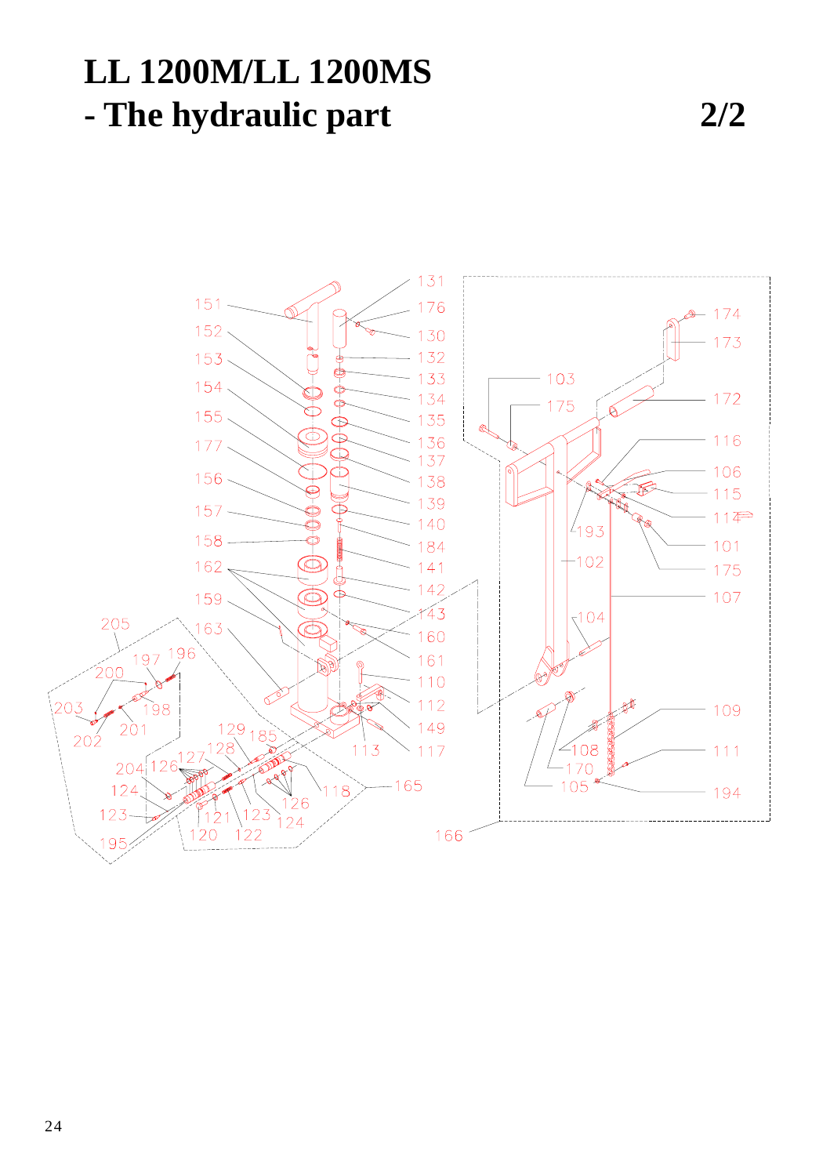## **LL 1200M/LL 1200MS - The hydraulic part 2/2**